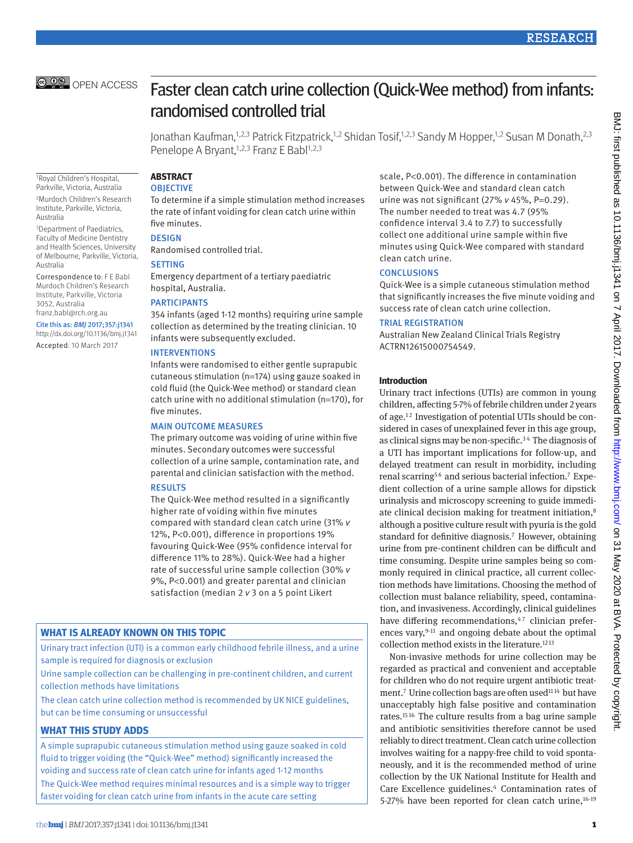# **@ 00** OPEN ACCESS

1Royal Children's Hospital, Parkville, Victoria, Australia 2Murdoch Children's Research Institute, Parkville, Victoria,

3Department of Paediatrics, Faculty of Medicine Dentistry and Health Sciences, University of Melbourne, Parkville, Victoria,

Correspondence to: F E Babl Murdoch Children's Research Institute, Parkville, Victoria 3052, Australia franz.babl@rch.org.au Cite this as: *BMJ* 2017;357:j1341 http://dx.doi.org/10.1136/bmj.j1341 Accepted: 10 March 2017

Australia

Australia

Faster clean catch urine collection (Quick-Wee method) from infants: randomised controlled trial

Jonathan Kaufman,<sup>1,2,3</sup> Patrick Fitzpatrick,<sup>1,2</sup> Shidan Tosif,<sup>1,2,3</sup> Sandy M Hopper,<sup>1,2</sup> Susan M Donath,<sup>2,3</sup> Penelope A Bryant, 1,2,3 Franz E Babl<sup>1,2,3</sup>

## **ABSTRACT**

## **OBJECTIVE**

To determine if a simple stimulation method increases the rate of infant voiding for clean catch urine within five minutes.

### **DESIGN**

Randomised controlled trial.

## **SETTING**

Emergency department of a tertiary paediatric hospital, Australia.

#### **PARTICIPANTS**

354 infants (aged 1-12 months) requiring urine sample collection as determined by the treating clinician. 10 infants were subsequently excluded.

## **INTERVENTIONS**

Infants were randomised to either gentle suprapubic cutaneous stimulation (n=174) using gauze soaked in cold fluid (the Quick-Wee method) or standard clean catch urine with no additional stimulation (n=170), for five minutes.

#### **MAIN OUTCOME MEASURES**

The primary outcome was voiding of urine within five minutes. Secondary outcomes were successful collection of a urine sample, contamination rate, and parental and clinician satisfaction with the method.

### Results

The Quick-Wee method resulted in a significantly higher rate of voiding within five minutes compared with standard clean catch urine (31% *v* 12%, P<0.001), difference in proportions 19% favouring Quick-Wee (95% confidence interval for difference 11% to 28%). Quick-Wee had a higher rate of successful urine sample collection (30% *v* 9%, P<0.001) and greater parental and clinician satisfaction (median 2 *v* 3 on a 5 point Likert

## **What is already known on this topic**

Urinary tract infection (UTI) is a common early childhood febrile illness, and a urine sample is required for diagnosis or exclusion

Urine sample collection can be challenging in pre-continent children, and current collection methods have limitations

The clean catch urine collection method is recommended by UK NICE guidelines, but can be time consuming or unsuccessful

## **What this study adds**

A simple suprapubic cutaneous stimulation method using gauze soaked in cold fluid to trigger voiding (the "Quick-Wee" method) significantly increased the voiding and success rate of clean catch urine for infants aged 1-12 months

The Quick-Wee method requires minimal resources and is a simple way to trigger faster voiding for clean catch urine from infants in the acute care setting

scale, P<0.001). The difference in contamination between Quick-Wee and standard clean catch urine was not significant (27% *v* 45%, P=0.29). The number needed to treat was 4.7 (95% confidence interval 3.4 to 7.7) to successfully collect one additional urine sample within five minutes using Quick-Wee compared with standard clean catch urine.

### **CONCLUSIONS**

Quick-Wee is a simple cutaneous stimulation method that significantly increases the five minute voiding and success rate of clean catch urine collection.

#### Trial registration

Australian New Zealand Clinical Trials Registry ACTRN12615000754549.

#### **Introduction**

Urinary tract infections (UTIs) are common in young children, affecting 5-7% of febrile children under 2 years of age.<sup>12</sup> Investigation of potential UTIs should be considered in cases of unexplained fever in this age group, as clinical signs may be non-specific.<sup>34</sup> The diagnosis of a UTI has important implications for follow-up, and delayed treatment can result in morbidity, including renal scarring<sup>56</sup> and serious bacterial infection.<sup>7</sup> Expedient collection of a urine sample allows for dipstick urinalysis and microscopy screening to guide immediate clinical decision making for treatment initiation,<sup>8</sup> although a positive culture result with pyuria is the gold standard for definitive diagnosis.<sup>7</sup> However, obtaining urine from pre-continent children can be difficult and time consuming. Despite urine samples being so commonly required in clinical practice, all current collection methods have limitations. Choosing the method of collection must balance reliability, speed, contamination, and invasiveness. Accordingly, clinical guidelines have differing recommendations, $47$  clinician preferences vary, $9-11$  and ongoing debate about the optimal collection method exists in the literature. $1213$ 

Non-invasive methods for urine collection may be regarded as practical and convenient and acceptable for children who do not require urgent antibiotic treatment.<sup>7</sup> Urine collection bags are often used<sup>1114</sup> but have unacceptably high false positive and contamination rates.15 16 The culture results from a bag urine sample and antibiotic sensitivities therefore cannot be used reliably to direct treatment. Clean catch urine collection involves waiting for a nappy-free child to void spontaneously, and it is the recommended method of urine collection by the UK National Institute for Health and Care Excellence guidelines.<sup>4</sup> Contamination rates of 5-27% have been reported for clean catch urine,<sup>16-19</sup>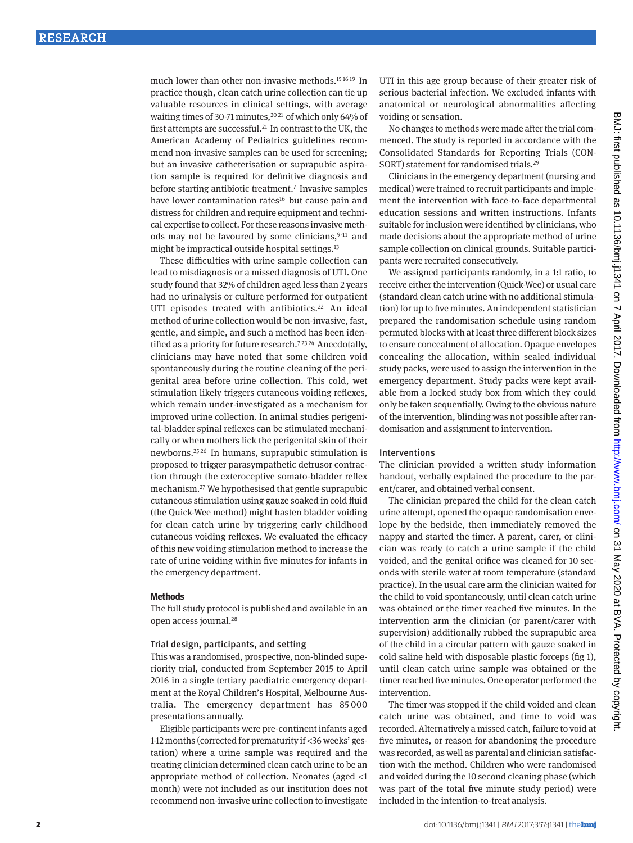much lower than other non-invasive methods.15 <sup>16</sup> 19 In practice though, clean catch urine collection can tie up valuable resources in clinical settings, with average waiting times of 30-71 minutes,<sup>20 21</sup> of which only 64% of first attempts are successful.21 In contrast to the UK, the American Academy of Pediatrics guidelines recommend non-invasive samples can be used for screening; but an invasive catheterisation or suprapubic aspiration sample is required for definitive diagnosis and before starting antibiotic treatment.7 Invasive samples have lower contamination rates<sup>16</sup> but cause pain and distress for children and require equipment and technical expertise to collect. For these reasons invasive methods may not be favoured by some clinicians, $9-11$  and might be impractical outside hospital settings.<sup>13</sup>

These difficulties with urine sample collection can lead to misdiagnosis or a missed diagnosis of UTI. One study found that 32% of children aged less than 2 years had no urinalysis or culture performed for outpatient UTI episodes treated with antibiotics.<sup>22</sup> An ideal method of urine collection would be non-invasive, fast, gentle, and simple, and such a method has been identified as a priority for future research.<sup>72324</sup> Anecdotally, clinicians may have noted that some children void spontaneously during the routine cleaning of the perigenital area before urine collection. This cold, wet stimulation likely triggers cutaneous voiding reflexes, which remain under-investigated as a mechanism for improved urine collection. In animal studies perigenital-bladder spinal reflexes can be stimulated mechanically or when mothers lick the perigenital skin of their newborns.25 26 In humans, suprapubic stimulation is proposed to trigger parasympathetic detrusor contraction through the exteroceptive somato-bladder reflex mechanism.27 We hypothesised that gentle suprapubic cutaneous stimulation using gauze soaked in cold fluid (the Quick-Wee method) might hasten bladder voiding for clean catch urine by triggering early childhood cutaneous voiding reflexes. We evaluated the efficacy of this new voiding stimulation method to increase the rate of urine voiding within five minutes for infants in the emergency department.

#### **Methods**

The full study protocol is published and available in an open access journal.28

#### Trial design, participants, and setting

This was a randomised, prospective, non-blinded superiority trial, conducted from September 2015 to April 2016 in a single tertiary paediatric emergency department at the Royal Children's Hospital, Melbourne Australia. The emergency department has 85 000 presentations annually.

Eligible participants were pre-continent infants aged 1-12 months (corrected for prematurity if <36 weeks' gestation) where a urine sample was required and the treating clinician determined clean catch urine to be an appropriate method of collection. Neonates (aged <1 month) were not included as our institution does not recommend non-invasive urine collection to investigate

UTI in this age group because of their greater risk of serious bacterial infection. We excluded infants with anatomical or neurological abnormalities affecting voiding or sensation.

No changes to methods were made after the trial commenced. The study is reported in accordance with the Consolidated Standards for Reporting Trials (CON-SORT) statement for randomised trials.29

Clinicians in the emergency department (nursing and medical) were trained to recruit participants and implement the intervention with face-to-face departmental education sessions and written instructions. Infants suitable for inclusion were identified by clinicians, who made decisions about the appropriate method of urine sample collection on clinical grounds. Suitable participants were recruited consecutively.

We assigned participants randomly, in a 1:1 ratio, to receive either the intervention (Quick-Wee) or usual care (standard clean catch urine with no additional stimulation) for up to five minutes. An independent statistician prepared the randomisation schedule using random permuted blocks with at least three different block sizes to ensure concealment of allocation. Opaque envelopes concealing the allocation, within sealed individual study packs, were used to assign the intervention in the emergency department. Study packs were kept available from a locked study box from which they could only be taken sequentially. Owing to the obvious nature of the intervention, blinding was not possible after randomisation and assignment to intervention.

## Interventions

The clinician provided a written study information handout, verbally explained the procedure to the parent/carer, and obtained verbal consent.

The clinician prepared the child for the clean catch urine attempt, opened the opaque randomisation envelope by the bedside, then immediately removed the nappy and started the timer. A parent, carer, or clinician was ready to catch a urine sample if the child voided, and the genital orifice was cleaned for 10 seconds with sterile water at room temperature (standard practice). In the usual care arm the clinician waited for the child to void spontaneously, until clean catch urine was obtained or the timer reached five minutes. In the intervention arm the clinician (or parent/carer with supervision) additionally rubbed the suprapubic area of the child in a circular pattern with gauze soaked in cold saline held with disposable plastic forceps (fig 1), until clean catch urine sample was obtained or the timer reached five minutes. One operator performed the intervention.

The timer was stopped if the child voided and clean catch urine was obtained, and time to void was recorded. Alternatively a missed catch, failure to void at five minutes, or reason for abandoning the procedure was recorded, as well as parental and clinician satisfaction with the method. Children who were randomised and voided during the 10 second cleaning phase (which was part of the total five minute study period) were included in the intention-to-treat analysis.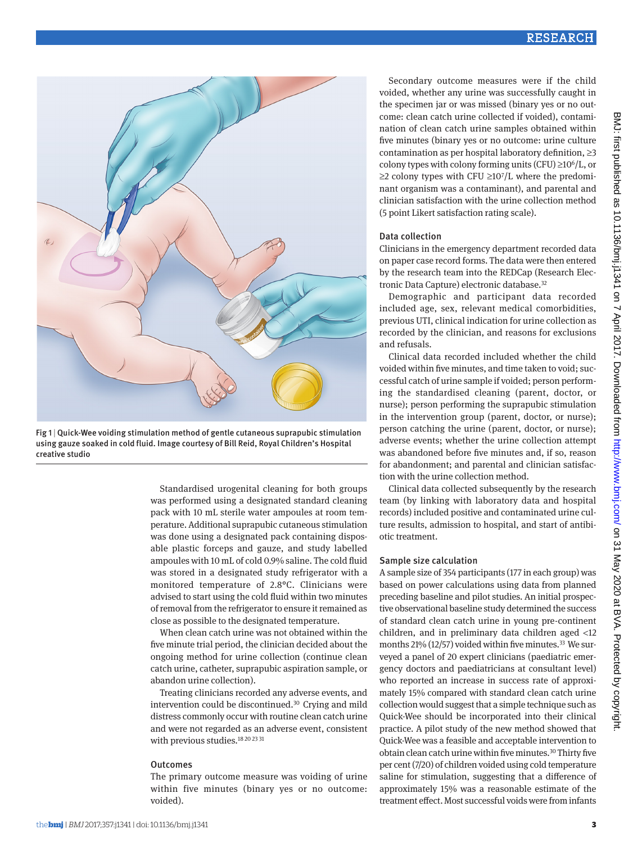

Fig 1 | Quick-Wee voiding stimulation method of gentle cutaneous suprapubic stimulation using gauze soaked in cold fluid. Image courtesy of Bill Reid, Royal Children's Hospital creative studio

Standardised urogenital cleaning for both groups was performed using a designated standard cleaning pack with 10 mL sterile water ampoules at room temperature. Additional suprapubic cutaneous stimulation was done using a designated pack containing disposable plastic forceps and gauze, and study labelled ampoules with 10 mL of cold 0.9% saline. The cold fluid was stored in a designated study refrigerator with a monitored temperature of 2.8°C. Clinicians were advised to start using the cold fluid within two minutes of removal from the refrigerator to ensure it remained as close as possible to the designated temperature.

When clean catch urine was not obtained within the five minute trial period, the clinician decided about the ongoing method for urine collection (continue clean catch urine, catheter, suprapubic aspiration sample, or abandon urine collection).

Treating clinicians recorded any adverse events, and intervention could be discontinued.30 Crying and mild distress commonly occur with routine clean catch urine and were not regarded as an adverse event, consistent with previous studies.18 <sup>20</sup> <sup>23</sup> <sup>31</sup>

## **Outcomes**

The primary outcome measure was voiding of urine within five minutes (binary yes or no outcome: voided).

Secondary outcome measures were if the child voided, whether any urine was successfully caught in the specimen jar or was missed (binary yes or no outcome: clean catch urine collected if voided), contamination of clean catch urine samples obtained within five minutes (binary yes or no outcome: urine culture contamination as per hospital laboratory definition, ≥3 colony types with colony forming units (CFU)  $\geq$ 10<sup>6</sup>/L, or  $≥$ 2 colony types with CFU  $≥$ 10<sup>7</sup>/L where the predominant organism was a contaminant), and parental and clinician satisfaction with the urine collection method (5 point Likert satisfaction rating scale).

#### Data collection

Clinicians in the emergency department recorded data on paper case record forms. The data were then entered by the research team into the REDCap (Research Electronic Data Capture) electronic database.32

Demographic and participant data recorded included age, sex, relevant medical comorbidities, previous UTI, clinical indication for urine collection as recorded by the clinician, and reasons for exclusions and refusals.

Clinical data recorded included whether the child voided within five minutes, and time taken to void; successful catch of urine sample if voided; person performing the standardised cleaning (parent, doctor, or nurse); person performing the suprapubic stimulation in the intervention group (parent, doctor, or nurse); person catching the urine (parent, doctor, or nurse); adverse events; whether the urine collection attempt was abandoned before five minutes and, if so, reason for abandonment; and parental and clinician satisfaction with the urine collection method.

Clinical data collected subsequently by the research team (by linking with laboratory data and hospital records) included positive and contaminated urine culture results, admission to hospital, and start of antibiotic treatment.

#### Sample size calculation

A sample size of 354 participants (177 in each group) was based on power calculations using data from planned preceding baseline and pilot studies. An initial prospective observational baseline study determined the success of standard clean catch urine in young pre-continent children, and in preliminary data children aged <12 months 21% (12/57) voided within five minutes.<sup>33</sup> We surveyed a panel of 20 expert clinicians (paediatric emergency doctors and paediatricians at consultant level) who reported an increase in success rate of approximately 15% compared with standard clean catch urine collection would suggest that a simple technique such as Quick-Wee should be incorporated into their clinical practice. A pilot study of the new method showed that Quick-Wee was a feasible and acceptable intervention to obtain clean catch urine within five minutes.30 Thirty five per cent (7/20) of children voided using cold temperature saline for stimulation, suggesting that a difference of approximately 15% was a reasonable estimate of the treatment effect. Most successful voids were from infants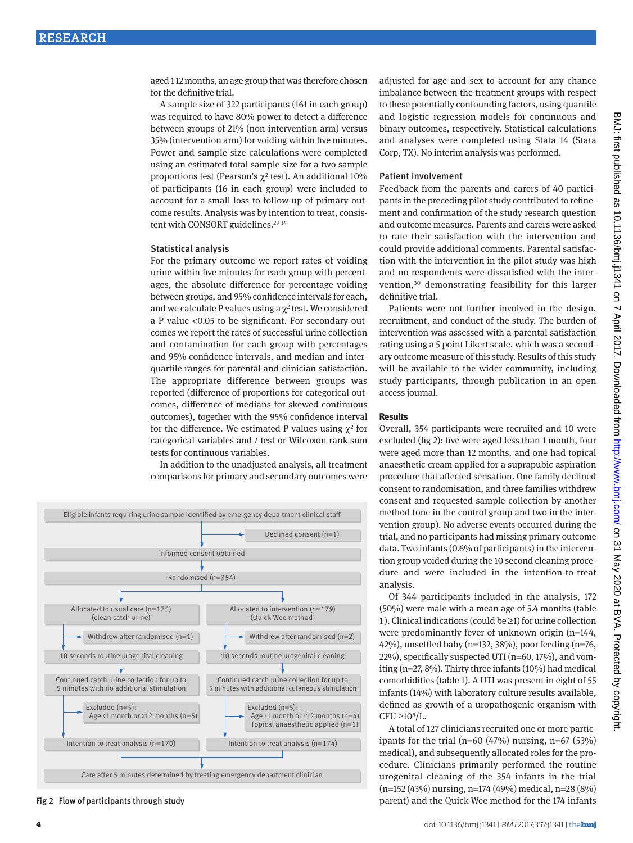aged 1-12 months, an age group that was therefore chosen for the definitive trial.

A sample size of 322 participants (161 in each group) was required to have 80% power to detect a difference between groups of 21% (non-intervention arm) versus 35% (intervention arm) for voiding within five minutes. Power and sample size calculations were completed using an estimated total sample size for a two sample proportions test (Pearson's  $\chi^2$  test). An additional 10% of participants (16 in each group) were included to account for a small loss to follow-up of primary outcome results. Analysis was by intention to treat, consistent with CONSORT guidelines.<sup>29 34</sup>

### Statistical analysis

For the primary outcome we report rates of voiding urine within five minutes for each group with percentages, the absolute difference for percentage voiding between groups, and 95% confidence intervals for each, and we calculate P values using a  $\chi^2$  test. We considered a P value <0.05 to be significant. For secondary outcomes we report the rates of successful urine collection and contamination for each group with percentages and 95% confidence intervals, and median and interquartile ranges for parental and clinician satisfaction. The appropriate difference between groups was reported (difference of proportions for categorical outcomes, difference of medians for skewed continuous outcomes), together with the 95% confidence interval for the difference. We estimated P values using  $\chi^2$  for categorical variables and *t* test or Wilcoxon rank-sum tests for continuous variables.

In addition to the unadjusted analysis, all treatment comparisons for primary and secondary outcomes were



Fig 2 | Flow of participants through study

adjusted for age and sex to account for any chance imbalance between the treatment groups with respect to these potentially confounding factors, using quantile and logistic regression models for continuous and binary outcomes, respectively. Statistical calculations and analyses were completed using Stata 14 (Stata Corp, TX). No interim analysis was performed.

#### Patient involvement

Feedback from the parents and carers of 40 participants in the preceding pilot study contributed to refinement and confirmation of the study research question and outcome measures. Parents and carers were asked to rate their satisfaction with the intervention and could provide additional comments. Parental satisfaction with the intervention in the pilot study was high and no respondents were dissatisfied with the intervention,30 demonstrating feasibility for this larger definitive trial.

Patients were not further involved in the design, recruitment, and conduct of the study. The burden of intervention was assessed with a parental satisfaction rating using a 5 point Likert scale, which was a secondary outcome measure of this study. Results of this study will be available to the wider community, including study participants, through publication in an open access journal.

#### **Results**

Overall, 354 participants were recruited and 10 were excluded (fig 2): five were aged less than 1 month, four were aged more than 12 months, and one had topical anaesthetic cream applied for a suprapubic aspiration procedure that affected sensation. One family declined consent to randomisation, and three families withdrew consent and requested sample collection by another method (one in the control group and two in the intervention group). No adverse events occurred during the trial, and no participants had missing primary outcome data. Two infants (0.6% of participants) in the intervention group voided during the 10 second cleaning procedure and were included in the intention-to-treat analysis.

Of 344 participants included in the analysis, 172 (50%) were male with a mean age of 5.4 months (table 1 ). Clinical indications (could be ≥1) for urine collection were predominantly fever of unknown origin (n=144, 42%), unsettled baby (n=132, 38%), poor feeding (n=76, 22%), specifically suspected UTI (n=60, 17%), and vomiting (n=27, 8%). Thirty three infants (10%) had medical comorbidities (table 1). A UTI was present in eight of 55 infants (14%) with laboratory culture results available, defined as growth of a uropathogenic organism with  $CFU \geq 10^8/L$ .

A total of 127 clinicians recruited one or more participants for the trial (n=60 (47%) nursing, n=67 (53%) medical), and subsequently allocated roles for the procedure. Clinicians primarily performed the routine urogenital cleaning of the 354 infants in the trial (n=152 (43%) nursing, n=174 (49%) medical, n=28 (8%) parent) and the Quick-Wee method for the 174 infants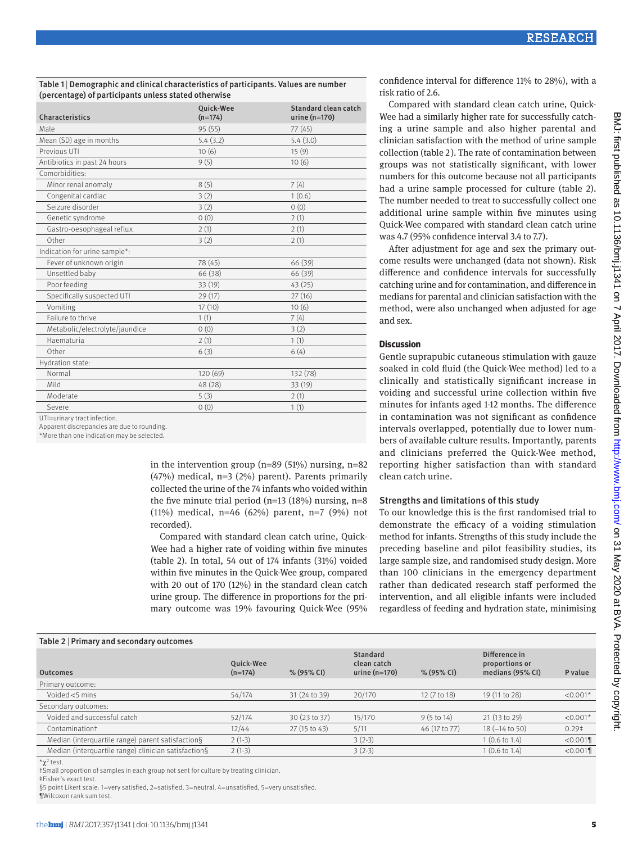| Table 1   Demographic and clinical characteristics of participants. Values are number |  |
|---------------------------------------------------------------------------------------|--|
| (percentage) of participants unless stated otherwise                                  |  |

| Characteristics                                                            | <b>Ouick-Wee</b><br>$(n=174)$ | Standard clean catch<br>urine $(n=170)$ |
|----------------------------------------------------------------------------|-------------------------------|-----------------------------------------|
| Male                                                                       | 95(55)                        | 77 (45)                                 |
| Mean (SD) age in months                                                    | 5.4(3.2)                      | 5.4(3.0)                                |
| Previous UTI                                                               | 10(6)                         | 15(9)                                   |
| Antibiotics in past 24 hours                                               | 9(5)                          | 10(6)                                   |
| Comorbidities:                                                             |                               |                                         |
| Minor renal anomaly                                                        | 8(5)                          | 7(4)                                    |
| Congenital cardiac                                                         | 3(2)                          | 1(0.6)                                  |
| Seizure disorder                                                           | 3(2)                          | 0(0)                                    |
| Genetic syndrome                                                           | 0(0)                          | 2(1)                                    |
| Gastro-oesophageal reflux                                                  | 2(1)                          | 2(1)                                    |
| Other                                                                      | 3(2)                          | 2(1)                                    |
| Indication for urine sample*:                                              |                               |                                         |
| Fever of unknown origin                                                    | 78 (45)                       | 66 (39)                                 |
| Unsettled baby                                                             | 66 (38)                       | 66 (39)                                 |
| Poor feeding                                                               | 33(19)                        | 43(25)                                  |
| Specifically suspected UTI                                                 | 29 (17)                       | 27(16)                                  |
| Vomiting                                                                   | 17(10)                        | 10(6)                                   |
| Failure to thrive                                                          | 1(1)                          | 7(4)                                    |
| Metabolic/electrolyte/jaundice                                             | 0(0)                          | 3(2)                                    |
| Haematuria                                                                 | 2(1)                          | 1(1)                                    |
| Other                                                                      | 6(3)                          | 6(4)                                    |
| Hydration state:                                                           |                               |                                         |
| Normal                                                                     | 120 (69)                      | 132 (78)                                |
| Mild                                                                       | 48 (28)                       | 33 (19)                                 |
| Moderate                                                                   | 5(3)                          | 2(1)                                    |
| Severe                                                                     | 0(0)                          | 1(1)                                    |
| UTI=urinary tract infection.<br>Annovant dicevanonciac ava dua to vaunding |                               |                                         |

Apparent discrepancies are due to rounding. \*More than one indication may be selected.

> in the intervention group (n=89 (51%) nursing, n=82 (47%) medical, n=3 (2%) parent). Parents primarily collected the urine of the 74 infants who voided within the five minute trial period  $(n=13 (18%)$  nursing,  $n=8$ (11%) medical, n=46 (62%) parent, n=7 (9%) not recorded).

> Compared with standard clean catch urine, Quick-Wee had a higher rate of voiding within five minutes (table 2). In total, 54 out of 174 infants (31%) voided within five minutes in the Quick-Wee group, compared with 20 out of 170 (12%) in the standard clean catch urine group. The difference in proportions for the primary outcome was 19% favouring Quick-Wee (95%

#### Table 2 | Primary and secondary outcomes

**Outcomes** Quick-Wee  $(n=174)$  % (95% CI) Standard clean catch urine (n=170) % (95% CI) Difference in proportions or medians (95% CI) P value Primary outcome: Voided <5 mins 54/174 31 (24 to 39) 20/170 12 (7 to 18) 19 (11 to 28) <0.001\* Secondary outcomes: Voided and successful catch 52/174 30 (23 to 37) 15/170 9 (5 to 14) 21 (13 to 29) <0.001\* Contamination† 12/44 27 (15 to 43) 5/11 46 (17 to 77) 18 (−14 to 50) 0.29‡ Median (interquartile range) parent satisfaction§ 2 (1-3) 3 (2-3) 1 (0.6 to 1.4) <0.001¶ Median (interquartile range) clinician satisfaction§  $2(1-3)$  3 (2-3)  $3(2-3)$  1 (0.6 to 1.4) <0.001¶

\*χ2 test.

†Small proportion of samples in each group not sent for culture by treating clinician.

‡Fisher's exact test.

§5 point Likert scale: 1=very satisfied, 2=satisfied, 3=neutral, 4=unsatisfied, 5=very unsatisfied. ¶Wilcoxon rank sum test.

confidence interval for difference 11% to 28%), with a risk ratio of 2.6.

Compared with standard clean catch urine, Quick-Wee had a similarly higher rate for successfully catching a urine sample and also higher parental and clinician satisfaction with the method of urine sample collection (table 2). The rate of contamination between groups was not statistically significant, with lower numbers for this outcome because not all participants had a urine sample processed for culture (table 2). The number needed to treat to successfully collect one additional urine sample within five minutes using Quick-Wee compared with standard clean catch urine was 4.7 (95% confidence interval 3.4 to 7.7).

After adjustment for age and sex the primary outcome results were unchanged (data not shown). Risk difference and confidence intervals for successfully catching urine and for contamination, and difference in medians for parental and clinician satisfaction with the method, were also unchanged when adjusted for age and sex.

## **Discussion**

Gentle suprapubic cutaneous stimulation with gauze soaked in cold fluid (the Quick-Wee method) led to a clinically and statistically significant increase in voiding and successful urine collection within five minutes for infants aged 1-12 months. The difference in contamination was not significant as confidence intervals overlapped, potentially due to lower numbers of available culture results. Importantly, parents and clinicians preferred the Quick-Wee method, reporting higher satisfaction than with standard clean catch urine.

## Strengths and limitations of this study

To our knowledge this is the first randomised trial to demonstrate the efficacy of a voiding stimulation method for infants. Strengths of this study include the preceding baseline and pilot feasibility studies, its large sample size, and randomised study design. More than 100 clinicians in the emergency department rather than dedicated research staff performed the intervention, and all eligible infants were included regardless of feeding and hydration state, minimising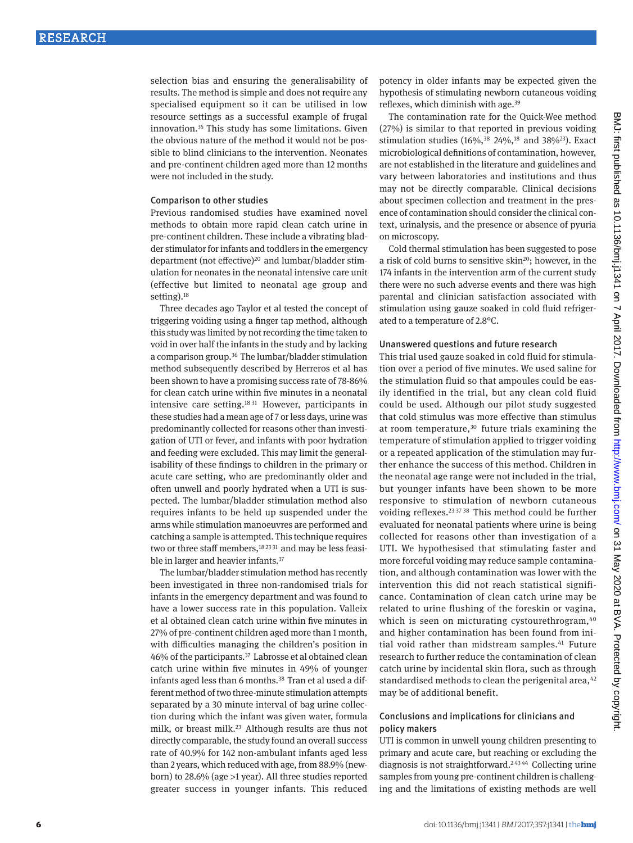selection bias and ensuring the generalisability of results. The method is simple and does not require any specialised equipment so it can be utilised in low resource settings as a successful example of frugal innovation.35 This study has some limitations. Given the obvious nature of the method it would not be possible to blind clinicians to the intervention. Neonates and pre-continent children aged more than 12 months were not included in the study.

#### Comparison to other studies

Previous randomised studies have examined novel methods to obtain more rapid clean catch urine in pre-continent children. These include a vibrating bladder stimulator for infants and toddlers in the emergency department (not effective)<sup>20</sup> and lumbar/bladder stimulation for neonates in the neonatal intensive care unit (effective but limited to neonatal age group and setting).<sup>18</sup>

Three decades ago Taylor et al tested the concept of triggering voiding using a finger tap method, although this study was limited by not recording the time taken to void in over half the infants in the study and by lacking a comparison group.36 The lumbar/bladder stimulation method subsequently described by Herreros et al has been shown to have a promising success rate of 78-86% for clean catch urine within five minutes in a neonatal intensive care setting.18 31 However, participants in these studies had a mean age of 7 or less days, urine was predominantly collected for reasons other than investigation of UTI or fever, and infants with poor hydration and feeding were excluded. This may limit the generalisability of these findings to children in the primary or acute care setting, who are predominantly older and often unwell and poorly hydrated when a UTI is suspected. The lumbar/bladder stimulation method also requires infants to be held up suspended under the arms while stimulation manoeuvres are performed and catching a sample is attempted. This technique requires two or three staff members,<sup>18 23 31</sup> and may be less feasible in larger and heavier infants.<sup>37</sup>

The lumbar/bladder stimulation method has recently been investigated in three non-randomised trials for infants in the emergency department and was found to have a lower success rate in this population. Valleix et al obtained clean catch urine within five minutes in 27% of pre-continent children aged more than 1 month, with difficulties managing the children's position in 46% of the participants.37 Labrosse et al obtained clean catch urine within five minutes in 49% of younger infants aged less than 6 months.<sup>38</sup> Tran et al used a different method of two three-minute stimulation attempts separated by a 30 minute interval of bag urine collection during which the infant was given water, formula milk, or breast milk.23 Although results are thus not directly comparable, the study found an overall success rate of 40.9% for 142 non-ambulant infants aged less than 2 years, which reduced with age, from 88.9% (newborn) to 28.6% (age >1 year). All three studies reported greater success in younger infants. This reduced

potency in older infants may be expected given the hypothesis of stimulating newborn cutaneous voiding reflexes, which diminish with age.39

The contamination rate for the Quick-Wee method (27%) is similar to that reported in previous voiding stimulation studies (16%, 38 24%, 18 and 38%23). Exact microbiological definitions of contamination, however, are not established in the literature and guidelines and vary between laboratories and institutions and thus may not be directly comparable. Clinical decisions about specimen collection and treatment in the presence of contamination should consider the clinical context, urinalysis, and the presence or absence of pyuria on microscopy.

Cold thermal stimulation has been suggested to pose a risk of cold burns to sensitive skin<sup>20</sup>; however, in the 174 infants in the intervention arm of the current study there were no such adverse events and there was high parental and clinician satisfaction associated with stimulation using gauze soaked in cold fluid refrigerated to a temperature of 2.8°C.

#### Unanswered questions and future research

This trial used gauze soaked in cold fluid for stimulation over a period of five minutes. We used saline for the stimulation fluid so that ampoules could be easily identified in the trial, but any clean cold fluid could be used. Although our pilot study suggested that cold stimulus was more effective than stimulus at room temperature, $30$  future trials examining the temperature of stimulation applied to trigger voiding or a repeated application of the stimulation may further enhance the success of this method. Children in the neonatal age range were not included in the trial, but younger infants have been shown to be more responsive to stimulation of newborn cutaneous voiding reflexes.23 <sup>37</sup> 38 This method could be further evaluated for neonatal patients where urine is being collected for reasons other than investigation of a UTI. We hypothesised that stimulating faster and more forceful voiding may reduce sample contamination, and although contamination was lower with the intervention this did not reach statistical significance. Contamination of clean catch urine may be related to urine flushing of the foreskin or vagina, which is seen on micturating cystourethrogram, $40$ and higher contamination has been found from initial void rather than midstream samples.<sup>41</sup> Future research to further reduce the contamination of clean catch urine by incidental skin flora, such as through standardised methods to clean the perigenital area, 42 may be of additional benefit.

## Conclusions and implications for clinicians and policy makers

UTI is common in unwell young children presenting to primary and acute care, but reaching or excluding the diagnosis is not straightforward.<sup>24344</sup> Collecting urine samples from young pre-continent children is challenging and the limitations of existing methods are well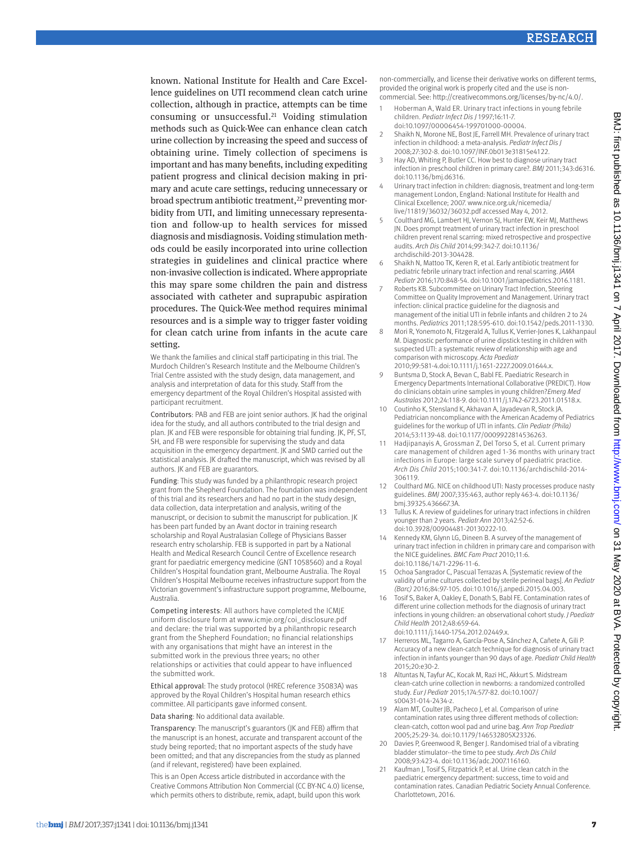known. National Institute for Health and Care Excellence guidelines on UTI recommend clean catch urine collection, although in practice, attempts can be time consuming or unsuccessful.21 Voiding stimulation methods such as Quick-Wee can enhance clean catch urine collection by increasing the speed and success of obtaining urine. Timely collection of specimens is important and has many benefits, including expediting patient progress and clinical decision making in primary and acute care settings, reducing unnecessary or broad spectrum antibiotic treatment,<sup>22</sup> preventing morbidity from UTI, and limiting unnecessary representation and follow-up to health services for missed diagnosis and misdiagnosis. Voiding stimulation methods could be easily incorporated into urine collection strategies in guidelines and clinical practice where non-invasive collection is indicated. Where appropriate this may spare some children the pain and distress associated with catheter and suprapubic aspiration procedures. The Quick-Wee method requires minimal resources and is a simple way to trigger faster voiding for clean catch urine from infants in the acute care setting.

We thank the families and clinical staff participating in this trial. The Murdoch Children's Research Institute and the Melbourne Children's Trial Centre assisted with the study design, data management, and analysis and interpretation of data for this study. Staff from the emergency department of the Royal Children's Hospital assisted with participant recruitment.

Contributors: PAB and FEB are joint senior authors. JK had the original idea for the study, and all authors contributed to the trial design and plan. JK and FEB were responsible for obtaining trial funding. JK, PF, ST, SH, and FB were responsible for supervising the study and data acquisition in the emergency department. JK and SMD carried out the statistical analysis. JK drafted the manuscript, which was revised by all authors. JK and FEB are guarantors.

Funding: This study was funded by a philanthropic research project grant from the Shepherd Foundation. The foundation was independent of this trial and its researchers and had no part in the study design, data collection, data interpretation and analysis, writing of the manuscript, or decision to submit the manuscript for publication. JK has been part funded by an Avant doctor in training research scholarship and Royal Australasian College of Physicians Basser research entry scholarship. FEB is supported in part by a National Health and Medical Research Council Centre of Excellence research grant for paediatric emergency medicine (GNT 1058560) and a Royal Children's Hospital foundation grant, Melbourne Australia. The Royal Children's Hospital Melbourne receives infrastructure support from the Victorian government's infrastructure support programme, Melbourne, Australia.

Competing interests: All authors have completed the ICMJE uniform disclosure form at www.icmje.org/coi\_disclosure.pdf and declare: the trial was supported by a philanthropic research grant from the Shepherd Foundation; no financial relationships with any organisations that might have an interest in the submitted work in the previous three years; no other relationships or activities that could appear to have influenced the submitted work.

Ethical approval: The study protocol (HREC reference 35083A) was approved by the Royal Children's Hospital human research ethics committee. All participants gave informed consent.

Data sharing: No additional data available.

Transparency: The manuscript's guarantors (JK and FEB) affirm that the manuscript is an honest, accurate and transparent account of the study being reported; that no important aspects of the study have been omitted; and that any discrepancies from the study as planned (and if relevant, registered) have been explained.

This is an Open Access article distributed in accordance with the Creative Commons Attribution Non Commercial (CC BY-NC 4.0) license, which permits others to distribute, remix, adapt, build upon this work

non-commercially, and license their derivative works on different terms, provided the original work is properly cited and the use is noncommercial. See: http://creativecommons.org/licenses/by-nc/4.0/.

- 1 Hoberman A, Wald ER. Urinary tract infections in young febrile children. *Pediatr Infect Dis J* 1997;16:11-7. doi:10.1097/00006454-199701000-00004.
- 2 Shaikh N, Morone NE, Bost JE, Farrell MH. Prevalence of urinary tract infection in childhood: a meta-analysis. *Pediatr Infect Dis J* 2008;27:302-8. doi:10.1097/INF.0b013e31815e4122.
- Hay AD, Whiting P, Butler CC. How best to diagnose urinary tract infection in preschool children in primary care?. *BMJ* 2011;343:d6316. doi:10.1136/bmj.d6316.
- 4 Urinary tract infection in children: diagnosis, treatment and long-term management London, England: National Institute for Health and Clinical Excellence; 2007. www.nice.org.uk/nicemedia/ live/11819/36032/36032.pdf accessed May 4, 2012.
- 5 Coulthard MG, Lambert HJ, Vernon SJ, Hunter EW, Keir MJ, Matthews JN. Does prompt treatment of urinary tract infection in preschool children prevent renal scarring: mixed retrospective and prospective audits. *Arch Dis Child* 2014;99:342-7. doi:10.1136/ archdischild-2013-304428.
- 6 Shaikh N, Mattoo TK, Keren R, et al. Early antibiotic treatment for pediatric febrile urinary tract infection and renal scarring. *JAMA Pediatr* 2016;170:848-54. doi:10.1001/jamapediatrics.2016.1181.
- Roberts KB. Subcommittee on Urinary Tract Infection, Steering Committee on Quality Improvement and Management. Urinary tract infection: clinical practice guideline for the diagnosis and management of the initial UTI in febrile infants and children 2 to 24 months. *Pediatrics* 2011;128:595-610. doi:10.1542/peds.2011-1330.
- 8 Mori R, Yonemoto N, Fitzgerald A, Tullus K, Verrier-Jones K, Lakhanpaul M. Diagnostic performance of urine dipstick testing in children with suspected UTI: a systematic review of relationship with age and comparison with microscopy. *Acta Paediatr* 2010;99:581-4.doi:10.1111/j.1651-2227.2009.01644.x.
- 9 Buntsma D, Stock A, Bevan C, Babl FE. Paediatric Research in Emergency Departments International Collaborative (PREDICT). How do clinicians obtain urine samples in young children?*Emerg Med Australas* 2012;24:118-9. doi:10.1111/j.1742-6723.2011.01518.x.
- 10 Coutinho K, Stensland K, Akhavan A, Jayadevan R, Stock JA. Pediatrician noncompliance with the American Academy of Pediatrics guidelines for the workup of UTI in infants. *Clin Pediatr (Phila)* 2014;53:1139-48. doi:10.1177/0009922814536263.
- 11 Hadjipanayis A, Grossman Z, Del Torso S, et al. Current primary care management of children aged 1-36 months with urinary tract infections in Europe: large scale survey of paediatric practice. *Arch Dis Child* 2015;100:341-7. doi:10.1136/archdischild-2014- 306119.
- 12 Coulthard MG. NICE on childhood UTI: Nasty processes produce nasty guidelines. *BMJ* 2007;335:463, author reply 463-4. doi:10.1136/ bmj.39325.436667.3A.
- 13 Tullus K. A review of guidelines for urinary tract infections in children younger than 2 years. *Pediatr Ann* 2013;42:52-6. doi:10.3928/00904481-20130222-10.
- 14 Kennedy KM, Glynn LG, Dineen B. A survey of the management of urinary tract infection in children in primary care and comparison with the NICE guidelines. *BMC Fam Pract* 2010;11:6. doi:10.1186/1471-2296-11-6.
- 15 Ochoa Sangrador C, Pascual Terrazas A. [Systematic review of the validity of urine cultures collected by sterile perineal bags]. *An Pediatr (Barc)* 2016;84:97-105. doi:10.1016/j.anpedi.2015.04.003.
- 16 Tosif S, Baker A, Oakley E, Donath S, Babl FE. Contamination rates of different urine collection methods for the diagnosis of urinary tract infections in young children: an observational cohort study. *J Paediatr Child Health* 2012;48:659-64. doi:10.1111/j.1440-1754.2012.02449.x.
- 17 Herreros ML, Tagarro A, García-Pose A, Sánchez A, Cañete A, Gili P. Accuracy of a new clean-catch technique for diagnosis of urinary tract infection in infants younger than 90 days of age. *Paediatr Child Health* 2015;20:e30-2.
- 18 Altuntas N, Tayfur AC, Kocak M, Razi HC, Akkurt S. Midstream clean-catch urine collection in newborns: a randomized controlled study. *Eur J Pediatr* 2015;174:577-82. doi:10.1007/ s00431-014-2434-z.
- 19 Alam MT, Coulter JB, Pacheco J, et al. Comparison of urine contamination rates using three different methods of collection: clean-catch, cotton wool pad and urine bag. *Ann Trop Paediatr* 2005;25:29-34. doi:10.1179/146532805X23326.
- 20 Davies P, Greenwood R, Benger J. Randomised trial of a vibrating bladder stimulator--the time to pee study. *Arch Dis Child* 2008;93:423-4. doi:10.1136/adc.2007.116160.
- 21 Kaufman J, Tosif S, Fitzpatrick P, et al. Urine clean catch in the paediatric emergency department: success, time to void and contamination rates. Canadian Pediatric Society Annual Conference. Charlottetown, 2016.